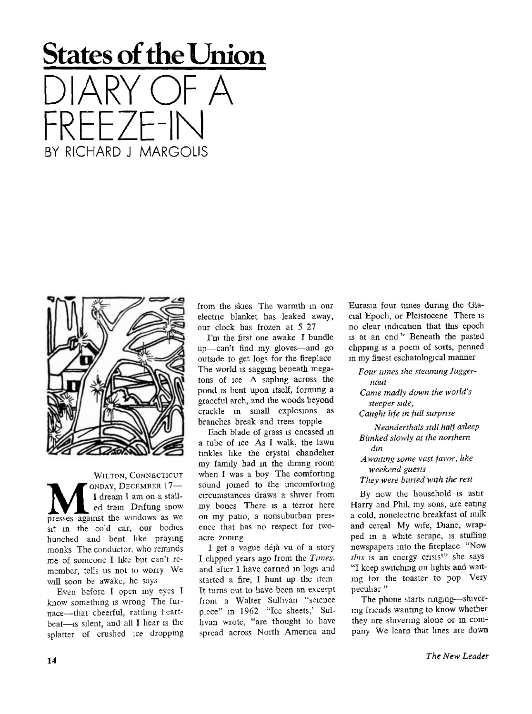## States **of** the **Union**  DIARY OF A FREEZE-IN BY RICHARD J MARGOLIS



WILTON, CONNECTICUT **M M PRESSES M PRESSES PRESSES PRESSES PRESSES PRESSES PRESSES PRESSES PRESSES PRESSES PRESSES PRESSES PRESSES PRESSES PRESSES PRESSES PRESSES PRESSES PRESSES PRESSES PRESSES** ONDAY, DECEMBER 17-I dream I am on a stalled train Drifting snow sit in the cold car, our bodies hunched and bent like praying monks The conductor, who reminds me of someone I like but can't remember, tells us not to worry We will soon be awake, he says

Even before I open my eyes I know something is wrong The furnace—that cheerful, ratthng heartbeat—is silent, and all I hear is the splatter of crushed ice dropping from the skies The warmth in our electric blanket has leaked away, our clock has frozen at 5 27

I'm the first one awake I bundle up—can't find my gloves—and go outside to get logs for the fireplace The world is sagging beneath megatons of ice A sapling across the pond is bent upon itself, forming a graceful arch, and the woods beyond crackle in small explosions as branches break and trees topple

Each blade of grass is encased m a tube of ice As I walk, the lawn tinkles like the crystal chandelier my family had in the dining room when I was a boy The comforting sound joined to the uncomforting circumstances draws a shiver from my bones There is a terror here on my patio, a nonsuburban presence that has no respect for twoacre zoning

I get a vague déjà vu of a story I clipped years ago from the *Tunes,*  and after I have carried in logs and started a fire, I hunt up the item It turns out to have been an excerpt from a Walter Sullivan "science piece" in 1962 "Ice sheets,' Sullivan wrote, "are thought to have spread across North America and Eurasia four tunes during the Glacial Epoch, or Pleistocene There is no clear indication that this epoch is at an end " Beneath the pasted clipping is a poem of sorts, penned in my finest eschatological manner

*Four tunes the steaming Juggernaut Came madly down the world's steeper side, Caught life in full surprise Neanderthals still half asleep Blinked slowly at the northern din A waiting some vast favor, like* 

*weekend guests They were buried with the rest* 

By now the household is astir Harry and Phil, my sons, are eating a cold, nonelectric breakfast of milk and cereal My wife, Diane, wrapped in a white serape, is stuffing newspapers into the fireplace "Now *this* is an energy crisis'" she says "I keep switching on lights and waiting tor the toaster to pop Very peculiar"

The phone starts ringing-shivering friends wanting to know whether they are shivering alone or in company We learn that lines are down